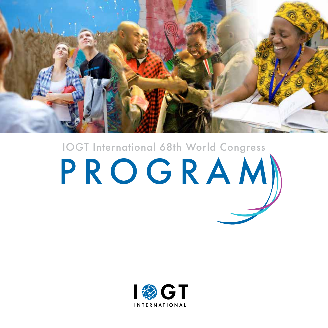

# PROGRAM IOGT International 68th World Congress

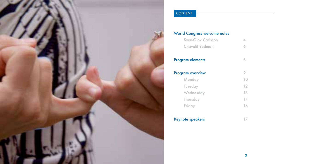

### **CONTENT**

| <b>World Congress welcome notes</b> |    |  |  |
|-------------------------------------|----|--|--|
| <b>Sven-Olov Carlsson</b>           |    |  |  |
| Chavalit Yodmani                    |    |  |  |
| <b>Program elements</b>             | 8  |  |  |
| Program overview                    |    |  |  |
| Monday                              | 10 |  |  |
| <b>Tuesday</b>                      | 12 |  |  |
| Wednesday                           | 13 |  |  |
| Thursday                            | 14 |  |  |
| Friday                              | 16 |  |  |
| <b>Keynote speakers</b>             |    |  |  |

3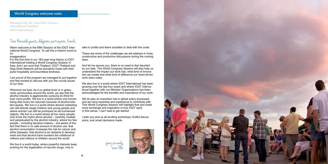### Dear Honorable guests, delegates, participants, friends,

Warm welcome to the 68th Session of the IOGT International World Congress. To call this a historic event is no

exaggeration:

For the first time in our 160-year long history is IOGT International holding a World Congress Session in Asia. And I am sure that Thailand, IOGT Thailand and Stop Drink Network will be wonderful hosts with their joyful hospitality and boundless kindness.

I am proud of the program we managed to put together and feel excited to discuss with you the crucial issues of our time.

We live in a world today, where powerful interests keep pushing for the legalization of narcotic drugs, only to

Wherever we look, be it on global level or in grassroots communities around the world, we see that the alcohol industry is aggressively pursuing its thirst for ever more profits. We live in a world where one human being dies every ten seconds because of alcohol-related causes. We live in a world where alcohol marketing can still directly target children and young people and where women can still be portrayed as de-humanized objects. We live in a world where all too many people only know the myths about alcohol – carefully created and perpetuated by the alcohol industry; where too few people – including decision-makers – are aware of the fact that there is no safe amount of alcohol use, that alcohol consumption increases the risk for cancer and other diseases, that alcohol is an obstacle to development and that alcohol harm burdens the childhood of millions and millions of children around the world.

We do play an important role in global policy processes and we have expertise and experience to contribute with. This World Congress Session will highlight that and foster more exchange and inspiration in true IOGT spirit. In this sense, I can't wait to get started.

Message from Mr. Sven-Olov Carlsson International President IOGT International







rake in profits and leave societies to deal with the costs.

These are some of the challenges we will address in lively, constructive and productive discussions during the coming days.

And let me assure you, there is no need to feel daunted by our task. This World Congress Session will also help us understand the impact our work has, what kind of innovation we create and what kind of difference our heart-driven work does make.

We also live in a world where IOGT International has been growing over the last four years and where IOGT International together with our Member Organizations has been acknowledged for the benefits and importance of our work.

I wish you and us all exciting workshops, fruitful discussions, and smart decisions made.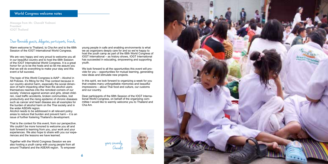### Dear Honorable guests, delegates, participants, friends,

Warm welcome to Thailand, to Cha Am and to the 68th Session of the IOGT International World Congress.

We are very happy and very proud to welcome you all in our beautiful country and to host the 68th Session of the IOGT International World Congress. It is a great honor for us to be the hosts and so let me assure you that we will do everything to make your stay and this event a full success.

The topic of this World Congress is AiAP – Alcohol in All Policies. It's fitting for the Thai context because in our country alcohol harm, especially the social dimension of harm impacting other than the alcohol users themselves reaches into the remotest corners of our society. Violence against women and girls, street children, road traffic accidents, broken communities, lost productivity and the rising epidemic of chronic diseases such as cancer and heart disease are all examples for the burden of alcohol harm on the Thai society and in the wider ASEAN region.

We look forward to all the opportunities this event will provide for you – opportunities for mutual learning, generating new ideas and stimulate new projects.

Alcohol needs to be addressed in all relevant policy areas to reduce that burden and prevent harm – it is an issue of further fostering Thailand's development.

That is the context for this event, from our perspective. We couldn't be more honored to welcome you all and look forward to learning from you, your work and your experiences. We also hope to share with you our experiences and the lessons we have learned.

Together with the World Congress Session we are also hosting a youth camp with young people from all around Thailand and the ASEAN region. To empower

Message from Mr. Chavalit Yodmani President IOGT Thailand

> young people in safe and enabling environments is what we as organizers deeply care for and so we're happy to host the youth camp as part of the 68th World Congress of IOGT International – as history shows, IOGT International has succeeded in educating, empowering and supporting youth.

In this spirit, we look forward to organizing a week for you that creates many unforgettable memories and beautiful impressions – about Thai food and culture, our customs and our country.

Dear participants of the 68th Session of the IOGT International World Congress, on behalf of the organizing committee I would like to warmly welcome you to Thailand and Cha Am.





6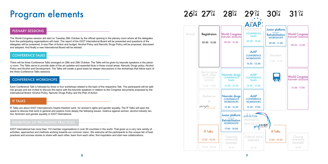# Program elements

### $26^{\circ}$ d<sup>oct</sup> 27<sup>oct</sup> 28<sup>oct</sup> 29<sup>oct</sup> 30<sup>oct</sup>

The World Congress session will start on Tuesday 28th October by the official opening in the plenary room where all the delegates from the participating organisations will meet. The report of the IOGT International Board will be presented and questions of the delegates will be answered. A new Plan of Action and budget, Alcohol Policy and Narcotic Drugs Policy will be proposed, discussed and adopted. And finally a new International Board will be elected.

There will be three Conference Talks arranged on 28th and 29th October. The Talks will be given by keynote speakers in the plenary room. The Talks serve to provide state of the art updates and essential facts in three crucial areas: Narcotic Drugs policy, Alcohol Policy and Alcohol and Development. The Talks will create a good basis for deeper discussions in the workshops that follow each of the three Conference Talks sessions.

Each Conference Talk is followed by three or four workshops related to the topic of the respective Talk. The participants will be split into groups and are invited to discuss the topics with the keynote speakers in relation to the Congress documents proposed by the International Board: Alcohol Policy, Naroctic Drugs Policy and the Plan of Action.

IF Talks are about IOGT International's Inspire freedom work for women's rights and gender equality. The IF Talks will open the space to discuss that work in general and explore more deeply the following issues: violence against women; alcohol industry tactics; feminism and gender equality in IOGT International.

IOGT International has more than 110 member organisations in over 50 countries in the world. That gives us a very rare variety of activities, approaches and methods working towards our common vision. We welcome all the participants to this unique fair of best practices and success stories to share with each other, learn from each other, find inspiration and start new collaborations.

#### PLENARY SESSIONS

### CONFERENCE TALKS

### CONFERENCE WORKSHOPS

#### IF TALKS

### EXHIBITION OF PROMISING PRACTICES



| Registraion<br>09.00 - 12.00                                 | <b>World Congress</b><br><b>PLENARY SESSION</b><br>09.00 - 12.00         | Fort<br>of al<br>C<br>0        |
|--------------------------------------------------------------|--------------------------------------------------------------------------|--------------------------------|
|                                                              |                                                                          | $\mathsf{C}$<br>Ŵ<br>1         |
| Get to know<br>each other<br><b>COOKING</b><br><b>SCHOOL</b> | <b>Narcotic drugs</b><br><b>CONFERENCE</b><br><b>TALKS</b>               | O                              |
| 12.00 - 17.00                                                | 13.30 - 15.30                                                            | 1                              |
| <b>Barbecue</b><br>8<br>magiq <sub>rink</sub>                | Narcotic drugs<br><b>CONFERENCE</b><br><b>WORKSHOPS</b><br>15.30 - 16.30 | O<br>1                         |
|                                                              | Junior platform<br><b>Rehabilitation</b><br><b>WORKSHOPS</b>             | $e\times$<br><b>PRC</b><br>PR, |
| <b>IF Talks</b>                                              | 17.00 - 18.00                                                            |                                |
| 17.30 - 18.30                                                | Opening<br>ceremony                                                      | Cυ                             |
| 18.00 - 20.30                                                | 18.30                                                                    |                                |
|                                                              |                                                                          | <b>DINNER</b>                  |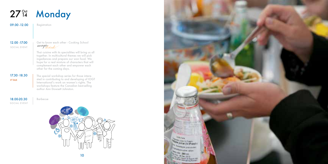# 27<sup>°</sup> Monday

09.00 -12.00 | Registration

18.00-20.30 **Barbecue** SOCIAL EVENT





Thai cuisine with its specialities will bring us all together. In multicultural themes we will pick ingediences and prepare our won food. We hope for a real mixture of characters that will complement each other and empower each other for the coming days.

### SOCIAL EVENT

12.00 -17.00 Get to know each other - Cooking School<br>social event magiginal

### 17.30 -18.30 IF TALK

The special workshop series for those interested in contributing to and developing of IOGT International's work on women's rights. The workshops feature the Canadian best-selling author Ann Dowsett Johnston.

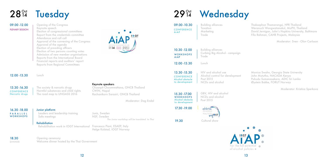Welcome dinner hosted by the Thai Government

Thaksaphon Thamarangsi, HPR Thailand Weranuch Wongwatanakul, MoPH, Thailand David Jernigan, John's Hopkins University, Baltimore Fifa Rahman, CAHR Projects, Malaysia

# 28<sup>34</sup> Tuesday

| 09.00 - 12.00<br><b>PLENARY SESSION</b>              | Opening of the Congress<br>Keynote speech<br>Election of congressional committees<br>Report from the credentials committee<br>Attendance and roll call<br>Approval of the convening of the Congress | I® GT                                                                                                                                  | 09.00 - 10.30<br><b>CONFERENCE</b><br>AiAP                                         | <b>Building alliances</b><br>Taxation<br>Marketing<br>Trade                  |
|------------------------------------------------------|-----------------------------------------------------------------------------------------------------------------------------------------------------------------------------------------------------|----------------------------------------------------------------------------------------------------------------------------------------|------------------------------------------------------------------------------------|------------------------------------------------------------------------------|
|                                                      | Approval of the agenda<br>Election of presiding officers<br>Election of two persons counting votes<br>Admission of new member organisations<br>Reports from the International Board                 | Oct 14 Cha Am Alcohol in                                                                                                               | 10.30 - 12.00<br>WORKSHOPS<br>AiAP                                                 | <b>Building alliances</b><br>Curbing Big Alcohol - campaign<br>Trade         |
|                                                      | Financial reports and auditors' report<br><b>Reports from Regional Committees</b>                                                                                                                   |                                                                                                                                        | 12.00 - 13.30                                                                      | Lunch                                                                        |
| 12.00 - 13.30                                        | Lunch                                                                                                                                                                                               |                                                                                                                                        | 13.30 - 15.30<br><b>CONFERENCE</b><br>Alcohol obstacle                             | HIV and alcohol use<br>Alcohol control for development<br>Post 2015          |
| 13.30 - 16.30<br><b>CONFERENCE</b><br>Narcotic drugs | The society & narcotic drugs<br>Harmful substances and child rights<br>The road map to UNGASS 2016                                                                                                  | Keynote speakers<br>Chuanpit Choomwattana, ONCB Thailand<br>CWIN, Nepal<br>Rachanikorn Sarasiri, ONCB Thailand<br>Moderator: Dag Endal | to development<br>15.30 - 17.00<br>WORKSHOPS<br>Alcohol obstacle<br>to development | NCDs and alcohol<br>GBV, HIV and alcohol<br>NCDs and alcohol<br>Post 2015    |
| 16.30 - 18.00<br>PARALLEL<br><b>WORKSHOPS</b>        | Junior platform<br>Leaders and leadership training<br>Safe meetings                                                                                                                                 | Junis, Sweden<br>NSF, Sweden<br>The Junior workshop will be translated to Thai                                                         | 17.30 - 19.00<br>19.30                                                             | exhibition<br><b>PROMISING</b><br>PRACTICE<br><b>MYISCL</b><br>Cultural show |
|                                                      | <b>Rehabiliation</b><br>Rehabilitation work in IOGT International                                                                                                                                   | <b>Francesco Piani, ESAEP, Italy</b><br>Helge Kolstad, IOGT Norway                                                                     |                                                                                    |                                                                              |
| 18.30<br><b>DINNER</b>                               | Opening ceremony<br>Welcome dinner hosted by the Thai Government                                                                                                                                    |                                                                                                                                        |                                                                                    |                                                                              |



Moderator: Sven - Olov Carlsson

Monica Swahn, Georgia State University John Mututho, NACADA Kenya Pubudu Sumanasekara, ADIC Sri Lanka Øystein Bakke, FORUT Norway

Moderator: Kristina Sperkova

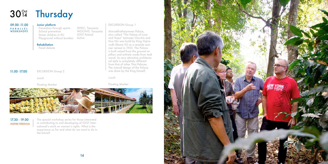|                                                         | 30 <sup>0ct</sup> Thursday                                                                                                                                                                                                                                           |                                                                                                                                                                                                                                                                                                                                                                                                                                                                                                          |  |
|---------------------------------------------------------|----------------------------------------------------------------------------------------------------------------------------------------------------------------------------------------------------------------------------------------------------------------------|----------------------------------------------------------------------------------------------------------------------------------------------------------------------------------------------------------------------------------------------------------------------------------------------------------------------------------------------------------------------------------------------------------------------------------------------------------------------------------------------------------|--|
| 09.00 - 11.00<br>PARALLEL<br>WORKSHOPS<br>11.00 - 17.00 | Junior platform<br>IDYDC, Tanzania<br>Prevention through sports<br>WOCHIVI, Tanzania<br>School prevention<br>Street children in EU<br><b>IOGT Poland</b><br>Playground without borders<br>Active<br><b>Rehabiliation</b><br>Panel debate<br><b>EXCURSION Group 2</b> | <b>EXCURSION Group 1</b><br>Maruekhathaiyawan Palace,<br>also called "The Palace of Love<br>and Hope" between Cha-Am and<br>Hua Hin was build by King Vajira-<br>vudh (Rama VI) as a seaside sum-<br>mer retreat in 1923. The Palace<br>is built raised from the ground on<br>pillars and entirely made from teak<br>wood. Its very attractive architectu-<br>ral style is completely different<br>from that of other Thai Palaces.<br>The overall design of the Palace<br>was done by the King himself. |  |
|                                                         | Lunch                                                                                                                                                                                                                                                                | Lunch                                                                                                                                                                                                                                                                                                                                                                                                                                                                                                    |  |
|                                                         | <b>Floating Market</b>                                                                                                                                                                                                                                               | <b>Floating Market</b>                                                                                                                                                                                                                                                                                                                                                                                                                                                                                   |  |
|                                                         |                                                                                                                                                                                                                                                                      |                                                                                                                                                                                                                                                                                                                                                                                                                                                                                                          |  |

17.30 - 19.00 INSPIRE FREEDOM

The special workshop series for those interested in contributing to and developing of IOGT International's work on women's rights. What is the experience so far and what do we want to do in the future?

14

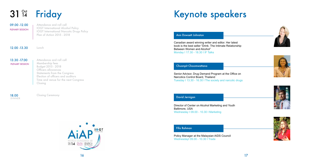09.00 -12.00 Attendance and roll call IOGT International Alcohol Policy IOGT International Narcotic Drugs Policy Plan of Action 2015 - 2018

12.00 - 13.30 Lunch

### **Friday**  $31\,$   $\frac{\text{Oct}}{14}$

PLENARY SESSION

13.30 -17.00 | Attendance and roll call Membership fees Budget 2015 - 2018 Officers allowances Statements from the Congress Election of officers and auditors Time and venue for the next Congress Closing

DINNER

18.00 Closing Ceremony



PLENARY SESSION

# Keynote speakers

#### Chuanpit Choomwattana

### David Jernigan

#### Ann Dowsett Johnston

#### Fifa Rahman

Canadian award winning writer and editor. Her latest book is the best seller "Drink. The Intimate Relationship Between Women and Alcohol" Monday I 17.30 - 18.30 I IF Talks

Senior Advisor, Drug Demand Program at the Office on Narcotics Control Board, Thailand Tuesday I 13.30 - 16.30 I The society and narcotic drugs

Director of Center on Alcohol Marketing and Youth Baltimore, USA Wednesday I 09.00 - 10.30 I Marketing

Policy Manager at the Malaysian AIDS Council WednesdayI 09.00 - 10.30 I Trade







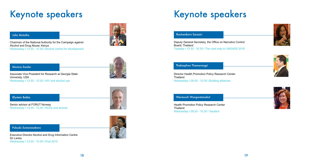# Keynote speakers



### Øystein Bakke

Pubudu Sumanasekara

### John Mututho

### Monica Swahn

Chairman of the National Authority for the Campaign against Alcohol and Drug Abuse; Kenya Wednesday I 13:30 - 15.30 I Alcohol control for development



Associate Vice President for Research at Georgia State University, USA Wednesday I 13:30 - 15.30 I HIV and alcohol use

Senior advisor at FORUT Norway Wednesday I 13:30 - 15.30 I NCDs and alcohol





Executive Director Alcohol and Drug Information Centre Sri Lanka Wednesday I 13:30 - 15.30 I Post 2015

### Rachanikorn Sarasiri

### Thaksaphon Thamarangsi

#### Weranuch Wongwatanakul

# Keynote speakers

Deputy General Secretary, the Office on Narcotics Control Board; Thailand Tuesday I 13:30 - 16.30 I The road map to UNGASS 2016

Director Health Promotion Policy Research Center Thailand Wednesday I 09.00 - 10.30 I Building alliances

Health Promotion Policy Research Center Thailand Wednesday I 09.00 - 10.30 I Taxation